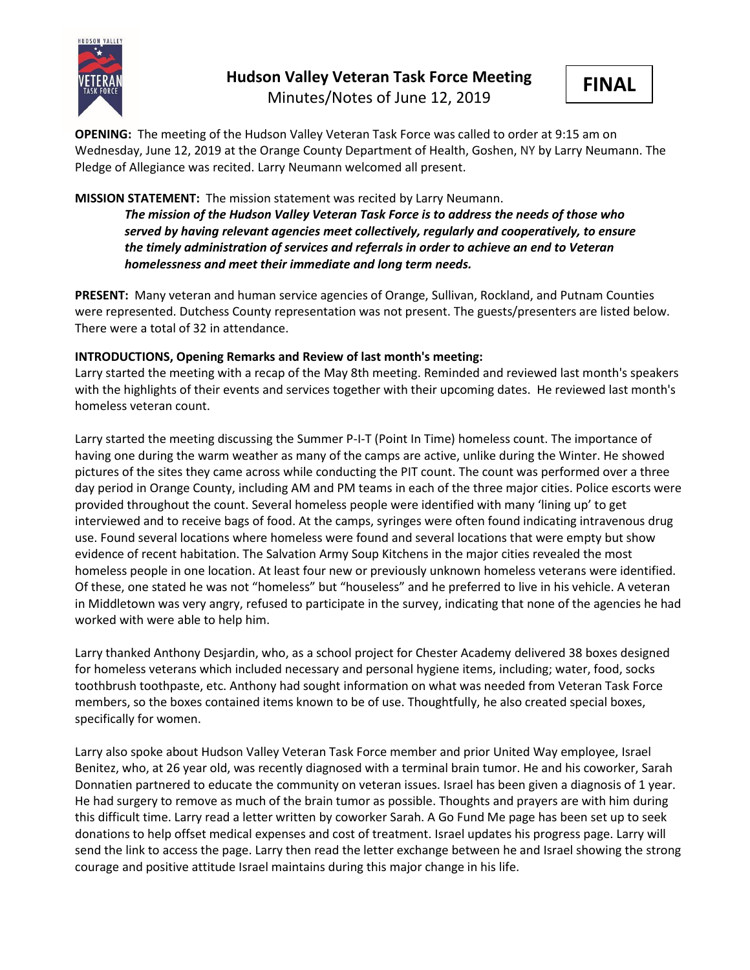

# **Hudson Valley Veteran Task Force Meeting**

Minutes/Notes of June 12, 2019



**OPENING:** The meeting of the Hudson Valley Veteran Task Force was called to order at 9:15 am on Wednesday, June 12, 2019 at the Orange County Department of Health, Goshen, NY by Larry Neumann. The Pledge of Allegiance was recited. Larry Neumann welcomed all present.

## **MISSION STATEMENT:** The mission statement was recited by Larry Neumann.

*The mission of the Hudson Valley Veteran Task Force is to address the needs of those who served by having relevant agencies meet collectively, regularly and cooperatively, to ensure the timely administration of services and referrals in order to achieve an end to Veteran homelessness and meet their immediate and long term needs.* 

**PRESENT:** Many veteran and human service agencies of Orange, Sullivan, Rockland, and Putnam Counties were represented. Dutchess County representation was not present. The guests/presenters are listed below. There were a total of 32 in attendance.

## **INTRODUCTIONS, Opening Remarks and Review of last month's meeting:**

Larry started the meeting with a recap of the May 8th meeting. Reminded and reviewed last month's speakers with the highlights of their events and services together with their upcoming dates. He reviewed last month's homeless veteran count.

Larry started the meeting discussing the Summer P-I-T (Point In Time) homeless count. The importance of having one during the warm weather as many of the camps are active, unlike during the Winter. He showed pictures of the sites they came across while conducting the PIT count. The count was performed over a three day period in Orange County, including AM and PM teams in each of the three major cities. Police escorts were provided throughout the count. Several homeless people were identified with many 'lining up' to get interviewed and to receive bags of food. At the camps, syringes were often found indicating intravenous drug use. Found several locations where homeless were found and several locations that were empty but show evidence of recent habitation. The Salvation Army Soup Kitchens in the major cities revealed the most homeless people in one location. At least four new or previously unknown homeless veterans were identified. Of these, one stated he was not "homeless" but "houseless" and he preferred to live in his vehicle. A veteran in Middletown was very angry, refused to participate in the survey, indicating that none of the agencies he had worked with were able to help him.

Larry thanked Anthony Desjardin, who, as a school project for Chester Academy delivered 38 boxes designed for homeless veterans which included necessary and personal hygiene items, including; water, food, socks toothbrush toothpaste, etc. Anthony had sought information on what was needed from Veteran Task Force members, so the boxes contained items known to be of use. Thoughtfully, he also created special boxes, specifically for women.

Larry also spoke about Hudson Valley Veteran Task Force member and prior United Way employee, Israel Benitez, who, at 26 year old, was recently diagnosed with a terminal brain tumor. He and his coworker, Sarah Donnatien partnered to educate the community on veteran issues. Israel has been given a diagnosis of 1 year. He had surgery to remove as much of the brain tumor as possible. Thoughts and prayers are with him during this difficult time. Larry read a letter written by coworker Sarah. A Go Fund Me page has been set up to seek donations to help offset medical expenses and cost of treatment. Israel updates his progress page. Larry will send the link to access the page. Larry then read the letter exchange between he and Israel showing the strong courage and positive attitude Israel maintains during this major change in his life.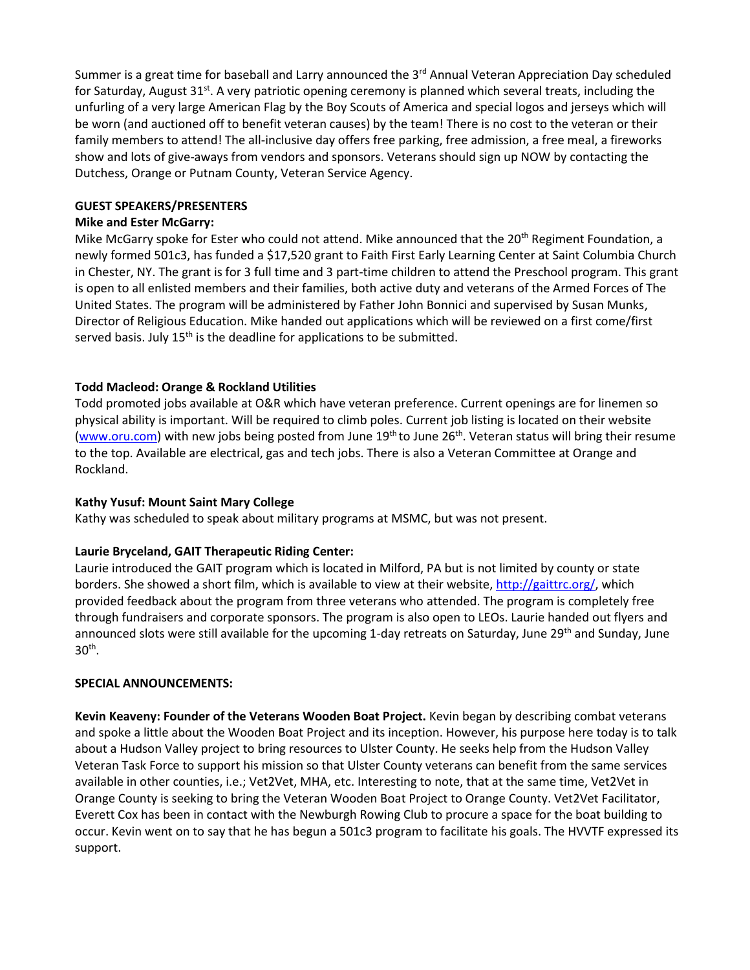Summer is a great time for baseball and Larry announced the 3<sup>rd</sup> Annual Veteran Appreciation Day scheduled for Saturday, August 31<sup>st</sup>. A very patriotic opening ceremony is planned which several treats, including the unfurling of a very large American Flag by the Boy Scouts of America and special logos and jerseys which will be worn (and auctioned off to benefit veteran causes) by the team! There is no cost to the veteran or their family members to attend! The all-inclusive day offers free parking, free admission, a free meal, a fireworks show and lots of give-aways from vendors and sponsors. Veterans should sign up NOW by contacting the Dutchess, Orange or Putnam County, Veteran Service Agency.

#### **GUEST SPEAKERS/PRESENTERS**

#### **Mike and Ester McGarry:**

Mike McGarry spoke for Ester who could not attend. Mike announced that the  $20<sup>th</sup>$  Regiment Foundation, a newly formed 501c3, has funded a \$17,520 grant to Faith First Early Learning Center at Saint Columbia Church in Chester, NY. The grant is for 3 full time and 3 part-time children to attend the Preschool program. This grant is open to all enlisted members and their families, both active duty and veterans of the Armed Forces of The United States. The program will be administered by Father John Bonnici and supervised by Susan Munks, Director of Religious Education. Mike handed out applications which will be reviewed on a first come/first served basis. July  $15<sup>th</sup>$  is the deadline for applications to be submitted.

# **Todd Macleod: Orange & Rockland Utilities**

Todd promoted jobs available at O&R which have veteran preference. Current openings are for linemen so physical ability is important. Will be required to climb poles. Current job listing is located on their website [\(www.oru.com\)](http://www.oru.com/) with new jobs being posted from June 19<sup>th</sup> to June 26<sup>th</sup>. Veteran status will bring their resume to the top. Available are electrical, gas and tech jobs. There is also a Veteran Committee at Orange and Rockland.

# **Kathy Yusuf: Mount Saint Mary College**

Kathy was scheduled to speak about military programs at MSMC, but was not present.

#### **Laurie Bryceland, GAIT Therapeutic Riding Center:**

Laurie introduced the GAIT program which is located in Milford, PA but is not limited by county or state borders. She showed a short film, which is available to view at their website, [http://gaittrc.org/,](http://gaittrc.org/) which provided feedback about the program from three veterans who attended. The program is completely free through fundraisers and corporate sponsors. The program is also open to LEOs. Laurie handed out flyers and announced slots were still available for the upcoming 1-day retreats on Saturday, June 29<sup>th</sup> and Sunday, June  $30<sup>th</sup>$ .

#### **SPECIAL ANNOUNCEMENTS:**

**Kevin Keaveny: Founder of the Veterans Wooden Boat Project.** Kevin began by describing combat veterans and spoke a little about the Wooden Boat Project and its inception. However, his purpose here today is to talk about a Hudson Valley project to bring resources to Ulster County. He seeks help from the Hudson Valley Veteran Task Force to support his mission so that Ulster County veterans can benefit from the same services available in other counties, i.e.; Vet2Vet, MHA, etc. Interesting to note, that at the same time, Vet2Vet in Orange County is seeking to bring the Veteran Wooden Boat Project to Orange County. Vet2Vet Facilitator, Everett Cox has been in contact with the Newburgh Rowing Club to procure a space for the boat building to occur. Kevin went on to say that he has begun a 501c3 program to facilitate his goals. The HVVTF expressed its support.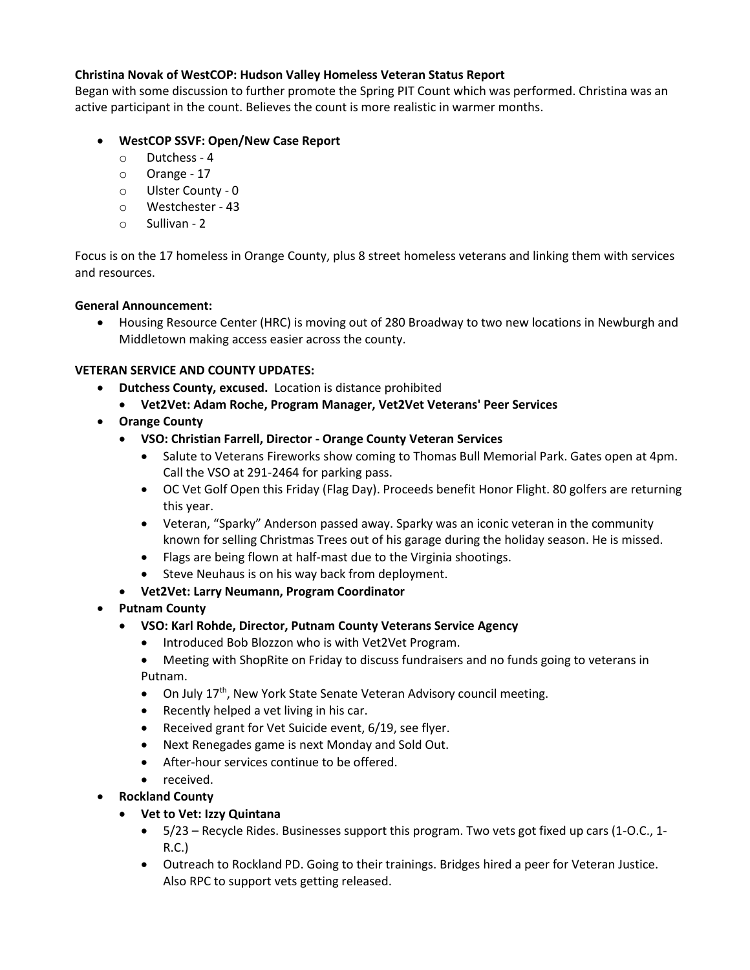# **Christina Novak of WestCOP: Hudson Valley Homeless Veteran Status Report**

Began with some discussion to further promote the Spring PIT Count which was performed. Christina was an active participant in the count. Believes the count is more realistic in warmer months.

## • **WestCOP SSVF: Open/New Case Report**

- o Dutchess 4
- o Orange 17
- o Ulster County 0
- o Westchester 43
- o Sullivan 2

Focus is on the 17 homeless in Orange County, plus 8 street homeless veterans and linking them with services and resources.

#### **General Announcement:**

• Housing Resource Center (HRC) is moving out of 280 Broadway to two new locations in Newburgh and Middletown making access easier across the county.

#### **VETERAN SERVICE AND COUNTY UPDATES:**

- **Dutchess County, excused.** Location is distance prohibited
	- **Vet2Vet: Adam Roche, Program Manager, Vet2Vet Veterans' Peer Services**
- **Orange County**
	- **VSO: Christian Farrell, Director - Orange County Veteran Services**
		- Salute to Veterans Fireworks show coming to Thomas Bull Memorial Park. Gates open at 4pm. Call the VSO at 291-2464 for parking pass.
		- OC Vet Golf Open this Friday (Flag Day). Proceeds benefit Honor Flight. 80 golfers are returning this year.
		- Veteran, "Sparky" Anderson passed away. Sparky was an iconic veteran in the community known for selling Christmas Trees out of his garage during the holiday season. He is missed.
		- Flags are being flown at half-mast due to the Virginia shootings.
		- Steve Neuhaus is on his way back from deployment.
	- **Vet2Vet: Larry Neumann, Program Coordinator**
- **Putnam County**
	- **VSO: Karl Rohde, Director, Putnam County Veterans Service Agency**
		- Introduced Bob Blozzon who is with Vet2Vet Program.
		- Meeting with ShopRite on Friday to discuss fundraisers and no funds going to veterans in Putnam.
		- On July 17<sup>th</sup>, New York State Senate Veteran Advisory council meeting.
		- Recently helped a vet living in his car.
		- Received grant for Vet Suicide event, 6/19, see flyer.
		- Next Renegades game is next Monday and Sold Out.
		- After-hour services continue to be offered.
		- received.
	- **Rockland County**
		- **Vet to Vet: Izzy Quintana**
			- 5/23 Recycle Rides. Businesses support this program. Two vets got fixed up cars (1-O.C., 1- R.C.)
			- Outreach to Rockland PD. Going to their trainings. Bridges hired a peer for Veteran Justice. Also RPC to support vets getting released.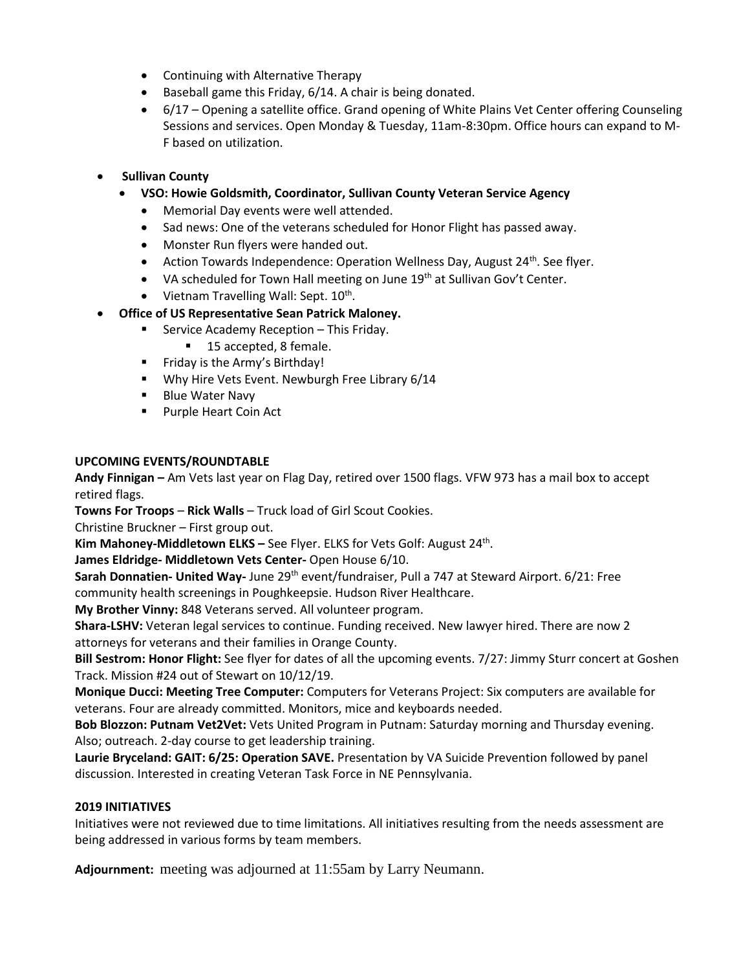- Continuing with Alternative Therapy
- Baseball game this Friday, 6/14. A chair is being donated.
- 6/17 Opening a satellite office. Grand opening of White Plains Vet Center offering Counseling Sessions and services. Open Monday & Tuesday, 11am-8:30pm. Office hours can expand to M-F based on utilization.
- **Sullivan County**
	- **VSO: Howie Goldsmith, Coordinator, Sullivan County Veteran Service Agency**
		- Memorial Day events were well attended.
		- Sad news: One of the veterans scheduled for Honor Flight has passed away.
		- Monster Run flyers were handed out.
		- Action Towards Independence: Operation Wellness Day, August  $24<sup>th</sup>$ . See flyer.
		- VA scheduled for Town Hall meeting on June 19<sup>th</sup> at Sullivan Gov't Center.
		- Vietnam Travelling Wall: Sept. 10<sup>th</sup>.
- **Office of US Representative Sean Patrick Maloney.**
	- Service Academy Reception This Friday.
		- 15 accepted, 8 female.
	- Friday is the Army's Birthday!
	- Why Hire Vets Event. Newburgh Free Library 6/14
	- Blue Water Navy
	- Purple Heart Coin Act

# **UPCOMING EVENTS/ROUNDTABLE**

**Andy Finnigan –** Am Vets last year on Flag Day, retired over 1500 flags. VFW 973 has a mail box to accept retired flags.

**Towns For Troops** – **Rick Walls** – Truck load of Girl Scout Cookies.

Christine Bruckner – First group out.

Kim Mahoney-Middletown ELKS - See Flyer. ELKS for Vets Golf: August 24<sup>th</sup>.

**James Eldridge- Middletown Vets Center-** Open House 6/10.

**Sarah Donnatien- United Way-** June 29<sup>th</sup> event/fundraiser, Pull a 747 at Steward Airport. 6/21: Free community health screenings in Poughkeepsie. Hudson River Healthcare.

**My Brother Vinny:** 848 Veterans served. All volunteer program.

**Shara-LSHV:** Veteran legal services to continue. Funding received. New lawyer hired. There are now 2 attorneys for veterans and their families in Orange County.

**Bill Sestrom: Honor Flight:** See flyer for dates of all the upcoming events. 7/27: Jimmy Sturr concert at Goshen Track. Mission #24 out of Stewart on 10/12/19.

**Monique Ducci: Meeting Tree Computer:** Computers for Veterans Project: Six computers are available for veterans. Four are already committed. Monitors, mice and keyboards needed.

**Bob Blozzon: Putnam Vet2Vet:** Vets United Program in Putnam: Saturday morning and Thursday evening. Also; outreach. 2-day course to get leadership training.

**Laurie Bryceland: GAIT: 6/25: Operation SAVE.** Presentation by VA Suicide Prevention followed by panel discussion. Interested in creating Veteran Task Force in NE Pennsylvania.

# **2019 INITIATIVES**

Initiatives were not reviewed due to time limitations. All initiatives resulting from the needs assessment are being addressed in various forms by team members.

**Adjournment:** meeting was adjourned at 11:55am by Larry Neumann.